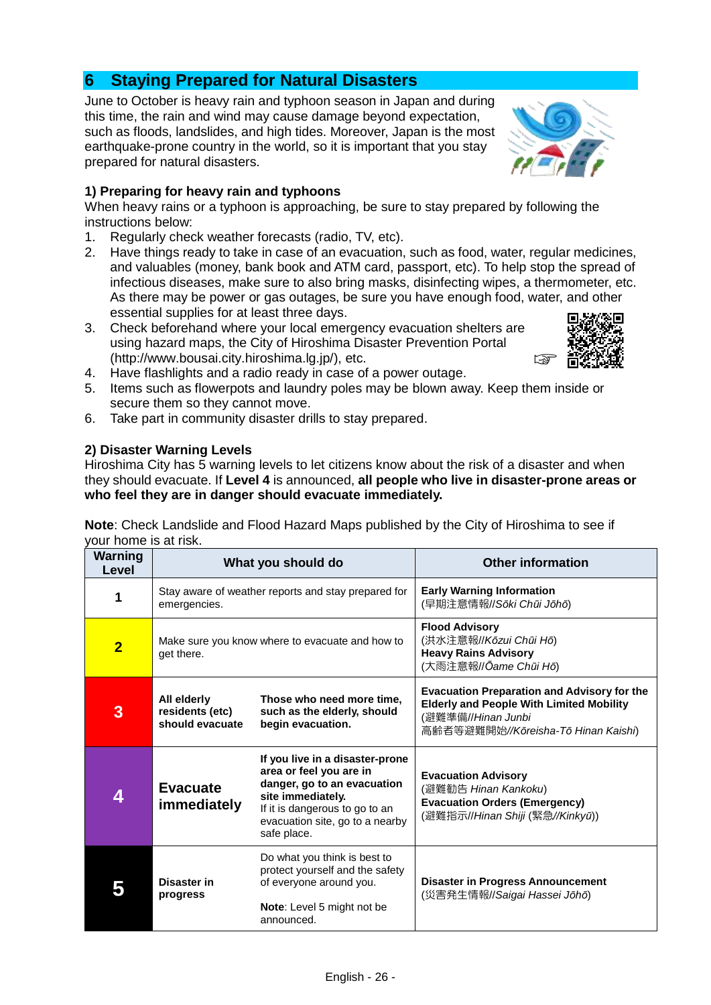# **6 Staying Prepared for Natural Disasters**

June to October is heavy rain and typhoon season in Japan and during this time, the rain and wind may cause damage beyond expectation, such as floods, landslides, and high tides. Moreover, Japan is the most earthquake-prone country in the world, so it is important that you stay prepared for natural disasters.

## **1) Preparing for heavy rain and typhoons**

When heavy rains or a typhoon is approaching, be sure to stay prepared by following the instructions below:

- 1. Regularly check weather forecasts (radio, TV, etc).
- 2. Have things ready to take in case of an evacuation, such as food, water, regular medicines, and valuables (money, bank book and ATM card, passport, etc). To help stop the spread of infectious diseases, make sure to also bring masks, disinfecting wipes, a thermometer, etc. As there may be power or gas outages, be sure you have enough food, water, and other essential supplies for at least three days.
- 3. Check beforehand where your local emergency evacuation shelters are using hazard maps, the City of Hiroshima Disaster Prevention Portal (http://www.bousai.city.hiroshima.lg.jp/), etc.



- 4. Have flashlights and a radio ready in case of a power outage.
- 5. Items such as flowerpots and laundry poles may be blown away. Keep them inside or secure them so they cannot move.
- 6. Take part in community disaster drills to stay prepared.

### **2) Disaster Warning Levels**

Hiroshima City has 5 warning levels to let citizens know about the risk of a disaster and when they should evacuate. If **Level 4** is announced, **all people who live in disaster-prone areas or who feel they are in danger should evacuate immediately.**

| Warning<br>Level | What you should do                                                  |                                                                                                                                                                                                    | <b>Other information</b>                                                                                                                                           |
|------------------|---------------------------------------------------------------------|----------------------------------------------------------------------------------------------------------------------------------------------------------------------------------------------------|--------------------------------------------------------------------------------------------------------------------------------------------------------------------|
| 1                | Stay aware of weather reports and stay prepared for<br>emergencies. |                                                                                                                                                                                                    | <b>Early Warning Information</b><br>(早期注意情報//Sōki Chūi Jōhō)                                                                                                       |
| $\overline{2}$   | Make sure you know where to evacuate and how to<br>get there.       |                                                                                                                                                                                                    | <b>Flood Advisory</b><br>(洪水注意報//Kōzui Chūi Hō)<br><b>Heavy Rains Advisory</b><br>(大雨注意報//Ōame Chūi Hō)                                                            |
| 3                | All elderly<br>residents (etc)<br>should evacuate                   | Those who need more time,<br>such as the elderly, should<br>begin evacuation.                                                                                                                      | <b>Evacuation Preparation and Advisory for the</b><br><b>Elderly and People With Limited Mobility</b><br>(避難準備//Hinan Junbi<br>高齢者等避難開始//Kōreisha-Tō Hinan Kaishi) |
| 4                | <b>Evacuate</b><br>immediately                                      | If you live in a disaster-prone<br>area or feel you are in<br>danger, go to an evacuation<br>site immediately.<br>If it is dangerous to go to an<br>evacuation site, go to a nearby<br>safe place. | <b>Evacuation Advisory</b><br>(避難勧告 Hinan Kankoku)<br><b>Evacuation Orders (Emergency)</b><br>(避難指示//Hinan Shiji (緊急//Kinkyū))                                     |
|                  | Disaster in<br>progress                                             | Do what you think is best to<br>protect yourself and the safety<br>of everyone around you.<br>Note: Level 5 might not be<br>announced.                                                             | <b>Disaster in Progress Announcement</b><br>(災害発生情報//Saigai Hassei Jōhō)                                                                                           |

**Note**: Check Landslide and Flood Hazard Maps published by the City of Hiroshima to see if your home is at risk.

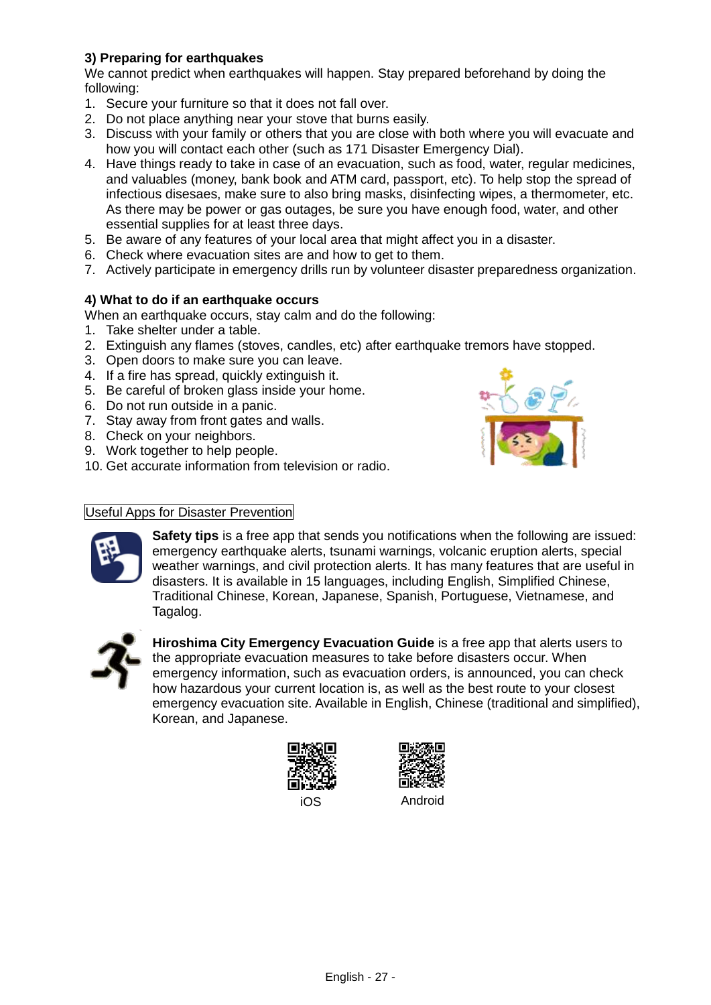# **3) Preparing for earthquakes**

We cannot predict when earthquakes will happen. Stay prepared beforehand by doing the following:

- 1. Secure your furniture so that it does not fall over.
- 2. Do not place anything near your stove that burns easily.
- 3. Discuss with your family or others that you are close with both where you will evacuate and how you will contact each other (such as 171 Disaster Emergency Dial).
- 4. Have things ready to take in case of an evacuation, such as food, water, regular medicines, and valuables (money, bank book and ATM card, passport, etc). To help stop the spread of infectious disesaes, make sure to also bring masks, disinfecting wipes, a thermometer, etc. As there may be power or gas outages, be sure you have enough food, water, and other essential supplies for at least three days.
- 5. Be aware of any features of your local area that might affect you in a disaster.
- 6. Check where evacuation sites are and how to get to them.
- 7. Actively participate in emergency drills run by volunteer disaster preparedness organization.

### **4) What to do if an earthquake occurs**

When an earthquake occurs, stay calm and do the following:

- 1. Take shelter under a table.
- 2. Extinguish any flames (stoves, candles, etc) after earthquake tremors have stopped.
- 3. Open doors to make sure you can leave.
- 4. If a fire has spread, quickly extinguish it.
- 5. Be careful of broken glass inside your home.
- 6. Do not run outside in a panic.
- 7. Stay away from front gates and walls.
- 8. Check on your neighbors.
- 9. Work together to help people.
- 10. Get accurate information from television or radio.

#### Useful Apps for Disaster Prevention



**Safety tips** is a free app that sends you notifications when the following are issued: emergency earthquake alerts, tsunami warnings, volcanic eruption alerts, special weather warnings, and civil protection alerts. It has many features that are useful in disasters. It is available in 15 languages, including English, Simplified Chinese, Traditional Chinese, Korean, Japanese, Spanish, Portuguese, Vietnamese, and Tagalog.



**Hiroshima City Emergency Evacuation Guide** is a free app that alerts users to the appropriate evacuation measures to take before disasters occur. When emergency information, such as evacuation orders, is announced, you can check how hazardous your current location is, as well as the best route to your closest emergency evacuation site. Available in English, Chinese (traditional and simplified), Korean, and Japanese.





iOS Android